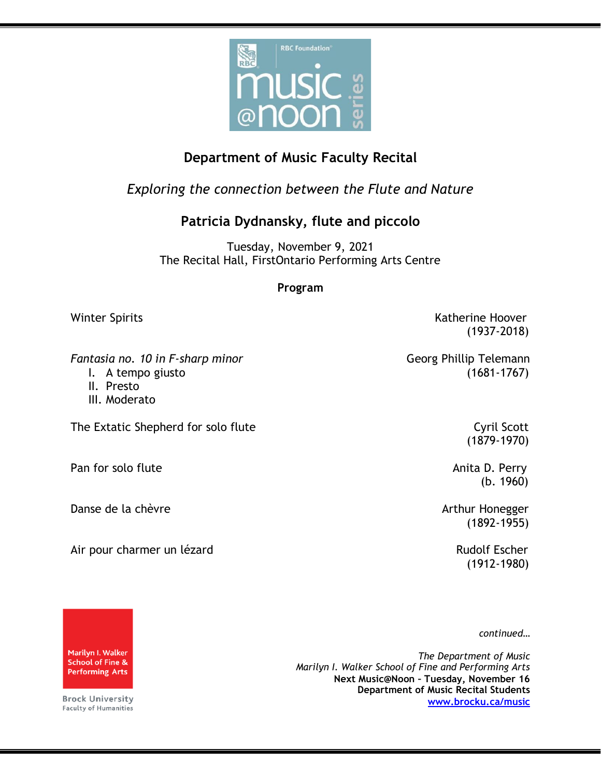

## **Department of Music Faculty Recital**

*Exploring the connection between the Flute and Nature*

## **Patricia Dydnansky, flute and piccolo**

Tuesday, November 9, 2021 The Recital Hall, FirstOntario Performing Arts Centre

## **Program**

*Fantasia no. 10 in F-sharp minor* and the same of the Georg Phillip Telemann

- 
- II. Presto
- III. Moderato

The Extatic Shepherd for solo flute Cyril Scott Cyril Scott

Pan for solo flute Anita D. Perry

Danse de la chèvre de la chèvre de la chèvre de la commune de la commune de la commune de la commune de la commune de la commune de la commune de la commune de la commune de la commune de la commune de la commune de la com

Air pour charmer un lézard and a control de la control de la Rudolf Escher

Winter Spirits **Katherine Hoover** Katherine Hoover (1937-2018)

I. A tempo giusto (1681-1767)

(1879-1970)

(b. 1960)

(1892-1955)

(1912-1980)

*continued…*

*The Department of Music Marilyn I. Walker School of Fine and Performing Arts* **Next Music@Noon – Tuesday, November 16 Department of Music Recital Students [www.brocku.ca/music](http://www.brocku.ca/music)**



**Brock University** Faculty of Humanities